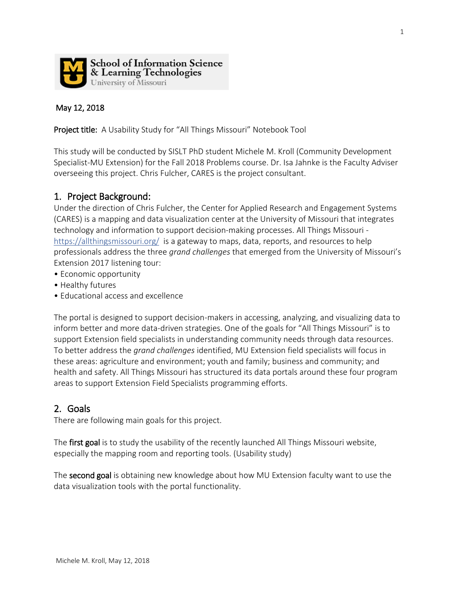

#### May 12, 2018

Project title: A Usability Study for "All Things Missouri" Notebook Tool

This study will be conducted by SISLT PhD student Michele M. Kroll (Community Development Specialist-MU Extension) for the Fall 2018 Problems course. Dr. Isa Jahnke is the Faculty Adviser overseeing this project. Chris Fulcher, CARES is the project consultant.

### 1. Project Background:

Under the direction of Chris Fulcher, the Center for Applied Research and Engagement Systems (CARES) is a mapping and data visualization center at the University of Missouri that integrates technology and information to support decision-making processes. All Things Missouri <https://allthingsmissouri.org/> is a gateway to maps, data, reports, and resources to help professionals address the three *grand challenges* that emerged from the University of Missouri's Extension 2017 listening tour:

- Economic opportunity
- Healthy futures
- Educational access and excellence

The portal is designed to support decision-makers in accessing, analyzing, and visualizing data to inform better and more data-driven strategies. One of the goals for "All Things Missouri" is to support Extension field specialists in understanding community needs through data resources. To better address the *grand challenges* identified, MU Extension field specialists will focus in these areas: agriculture and environment; youth and family; business and community; and health and safety. All Things Missouri has structured its data portals around these four program areas to support Extension Field Specialists programming efforts.

### 2. Goals

There are following main goals for this project.

The first goal is to study the usability of the recently launched All Things Missouri website, especially the mapping room and reporting tools. (Usability study)

The second goal is obtaining new knowledge about how MU Extension faculty want to use the data visualization tools with the portal functionality.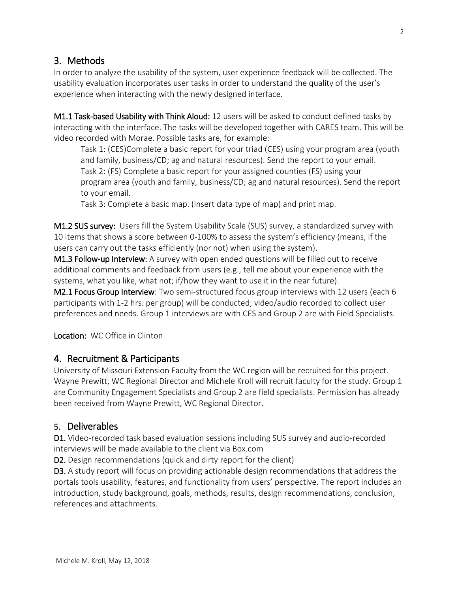## 3. Methods

In order to analyze the usability of the system, user experience feedback will be collected. The usability evaluation incorporates user tasks in order to understand the quality of the user's experience when interacting with the newly designed interface.

M1.1 Task-based Usability with Think Aloud: 12 users will be asked to conduct defined tasks by interacting with the interface. The tasks will be developed together with CARES team. This will be video recorded with Morae. Possible tasks are, for example:

Task 1: (CES)Complete a basic report for your triad (CES) using your program area (youth and family, business/CD; ag and natural resources). Send the report to your email. Task 2: (FS) Complete a basic report for your assigned counties (FS) using your program area (youth and family, business/CD; ag and natural resources). Send the report to your email.

Task 3: Complete a basic map. (insert data type of map) and print map.

M1.2 SUS survey: Users fill the System Usability Scale (SUS) survey, a standardized survey with 10 items that shows a score between 0-100% to assess the system's efficiency (means, if the users can carry out the tasks efficiently (nor not) when using the system).

M1.3 Follow-up Interview: A survey with open ended questions will be filled out to receive additional comments and feedback from users (e.g., tell me about your experience with the systems, what you like, what not; if/how they want to use it in the near future).

M2.1 Focus Group Interview: Two semi-structured focus group interviews with 12 users (each 6 participants with 1-2 hrs. per group) will be conducted; video/audio recorded to collect user preferences and needs. Group 1 interviews are with CES and Group 2 are with Field Specialists.

Location:WC Office in Clinton

## 4. Recruitment & Participants

University of Missouri Extension Faculty from the WC region will be recruited for this project. Wayne Prewitt, WC Regional Director and Michele Kroll will recruit faculty for the study. Group 1 are Community Engagement Specialists and Group 2 are field specialists. Permission has already been received from Wayne Prewitt, WC Regional Director.

### 5. Deliverables

D1. Video-recorded task based evaluation sessions including SUS survey and audio-recorded interviews will be made available to the client via Box.com

D2. Design recommendations (quick and dirty report for the client)

D3. A study report will focus on providing actionable design recommendations that address the portals tools usability, features, and functionality from users' perspective. The report includes an introduction, study background, goals, methods, results, design recommendations, conclusion, references and attachments.